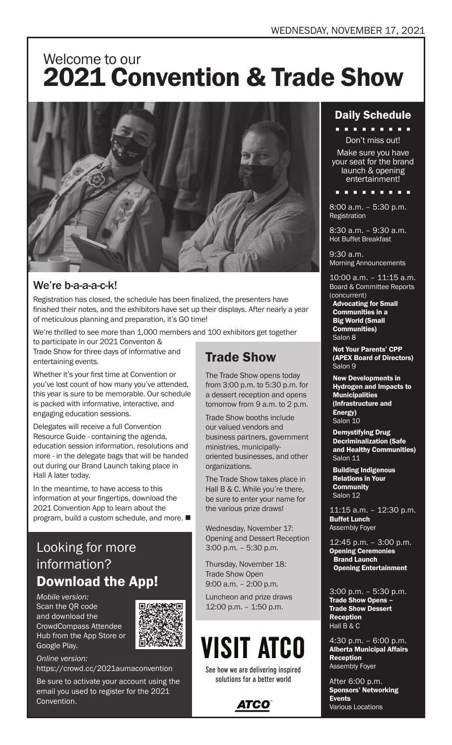## Welcome to our 2021 Convention & Trade Show



### We're b-a-a-a-c-k!

Registration has closed, the schedule has been finalized, the presenters have finished their notes, and the exhibitors have set up their displays. After nearly a year of meticulous planning and preparation, it's GO time!

We're thrilled to see more than 1,000 members and 100 exhibitors get together

to participate in our 2021 Conventon & Trade Show for three days of informative and entertaining events.

Whether it's your first time at Convention or you've lost count of how many you've attended, this year is sure to be memorable. Our schedule is packed with informative, interactive, and engaging education sessions.

Delegates will receive a full Convention Resource Guide - containing the agenda, education session information, resolutions and more - in the delegate bags that will be handed out during our Brand Launch taking place in Hall A later today.

In the meantime, to have access to this information at your fingertips, download the 2021 Convention App to learn about the program, build a custom schedule, and more.  $\blacksquare$ 

## Looking for more information? Download the App!

*Mobile version:*  Scan the QR code and download the CrowdCompass Attendee Hub from the App Store or Google Play.



*Online version:*  https://crowd.cc/2021aumaconvention

Be sure to activate your account using the email you used to register for the 2021 Convention.

## Trade Show

The Trade Show opens today from 3:00 p.m. to 5:30 p.m. for a dessert reception and opens tomorrow from 9 a.m. to 2 p.m.

Trade Show booths include our valued vendors and business partners, government ministries, municipallyoriented businesses, and other organizations.

The Trade Show takes place in Hall B & C. While you're there, be sure to enter your name for the various prize draws!

Wednesday, November 17: Opening and Dessert Reception 3:00 p.m. – 5:30 p.m.

Thursday, November 18: Trade Show Open 9:00 a.m. – 2:00 p.m.

Luncheon and prize draws 12:00 p.m. – 1:50 p.m.

# **VISIT ATCO**

See how we are delivering inspired solutions for a better world



### Daily Schedule

**. . . . . . . . .** Don't miss out!

Make sure you have your seat for the brand launch & opening entertainment!

n n n n n n n n n

8:00 a.m. – 5:30 p.m. Registration

8:30 a.m. – 9:30 a.m. Hot Buffet Breakfast

9:30 a.m. Morning Announcements

10:00 a.m. – 11:15 a.m. Board & Committee Reports (concurrent) Advocating for Small

Communities in a Big World (Small Communities) Salon 8

Not Your Parents' CPP (APEX Board of Directors) Salon 9

New Developments in Hydrogen and Impacts to **Municipalities** (Infrastructure and Energy) Salon 10

Demystifying Drug Decriminalization (Safe and Healthy Communities) Salon 11

Building Indigenous Relations in Your **Community** Salon 12

11:15 a.m. – 12:30 p.m. Buffet Lunch Assembly Foyer

12:45 p.m. – 3:00 p.m. **Opening Ceremonies Brand Launch** Opening Entertainment

3:00 p.m. – 5:30 p.m. Trade Show Opens -Trade Show Dessert Reception Hall B & C

4:30 p.m. – 6:00 p.m. Alberta Municipal Affairs Reception Assembly Foyer

After 6:00 p.m. Sponsors' Networking Events Various Locations